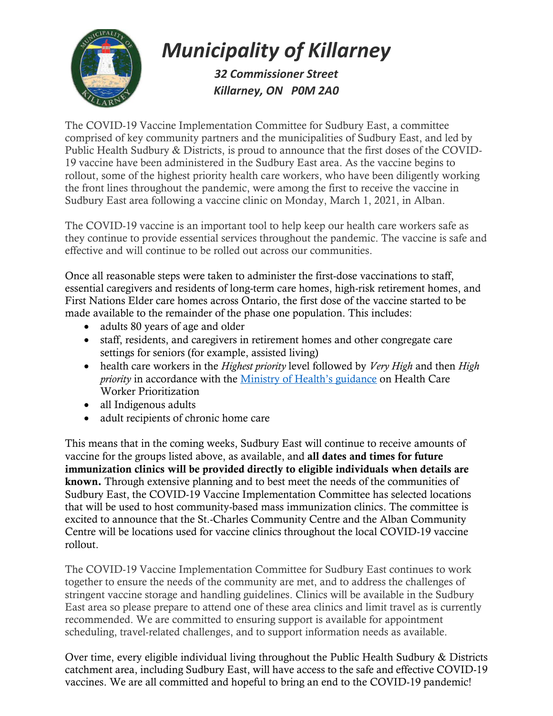

# *Municipality of Killarney*

*32 Commissioner Street Killarney, ON P0M 2A0* 

 The COVID-19 Vaccine Implementation Committee for Sudbury East, a committee comprised of key community partners and the municipalities of Sudbury East, and led by Public Health Sudbury & Districts, is proud to announce that the first doses of the COVID- 19 vaccine have been administered in the Sudbury East area. As the vaccine begins to the front lines throughout the pandemic, were among the first to receive the vaccine in Sudbury East area following a vaccine clinic on Monday, March 1, 2021, in Alban. rollout, some of the highest priority health care workers, who have been diligently working

 The COVID-19 vaccine is an important tool to help keep our health care workers safe as they continue to provide essential services throughout the pandemic. The vaccine is safe and effective and will continue to be rolled out across our communities.

 Once all reasonable steps were taken to administer the first-dose vaccinations to staff, essential caregivers and residents of long-term care homes, high-risk retirement homes, and First Nations Elder care homes across Ontario, the first dose of the vaccine started to be made available to the remainder of the phase one population. This includes:

- • adults 80 years of age and older
- staff, residents, and caregivers in retirement homes and other congregate care settings for seniors (for example, assisted living)
- health care workers in the *Highest priority* level followed by *Very High* and then *High priority* in accordance with the [Ministry of Health's guidance](https://www.google.ca/url?sa=t&rct=j&q=&esrc=s&source=web&cd=&ved=2ahUKEwjGi6yHm6HvAhUEUzUKHeSABgkQFjAAegQIARAD&url=http%3A%2F%2Fwww.health.gov.on.ca%2Fen%2Fpro%2Fprograms%2Fpublichealth%2Fcoronavirus%2Fdocs%2FGuidance_for_Prioritizing_HCW_covid19_vaccination_2020-01-08.pdf&usg=AOvVaw0K9mPOyVNZslKftEYHJ3t_) on Health Care Worker Prioritization
- all Indigenous adults
- adult recipients of chronic home care

 This means that in the coming weeks, Sudbury East will continue to receive amounts of vaccine for the groups listed above, as available, and all dates and times for future immunization clinics will be provided directly to eligible individuals when details are known. Through extensive planning and to best meet the needs of the communities of that will be used to host community-based mass immunization clinics. The committee is excited to announce that the St.-Charles Community Centre and the Alban Community Centre will be locations used for vaccine clinics throughout the local COVID-19 vaccine Sudbury East, the COVID-19 Vaccine Implementation Committee has selected locations rollout.

 The COVID-19 Vaccine Implementation Committee for Sudbury East continues to work together to ensure the needs of the community are met, and to address the challenges of stringent vaccine storage and handling guidelines. Clinics will be available in the Sudbury East area so please prepare to attend one of these area clinics and limit travel as is currently scheduling, travel-related challenges, and to support information needs as available. recommended. We are committed to ensuring support is available for appointment

 Over time, every eligible individual living throughout the Public Health Sudbury & Districts vaccines. We are all committed and hopeful to bring an end to the COVID-19 pandemic! catchment area, including Sudbury East, will have access to the safe and effective COVID-19